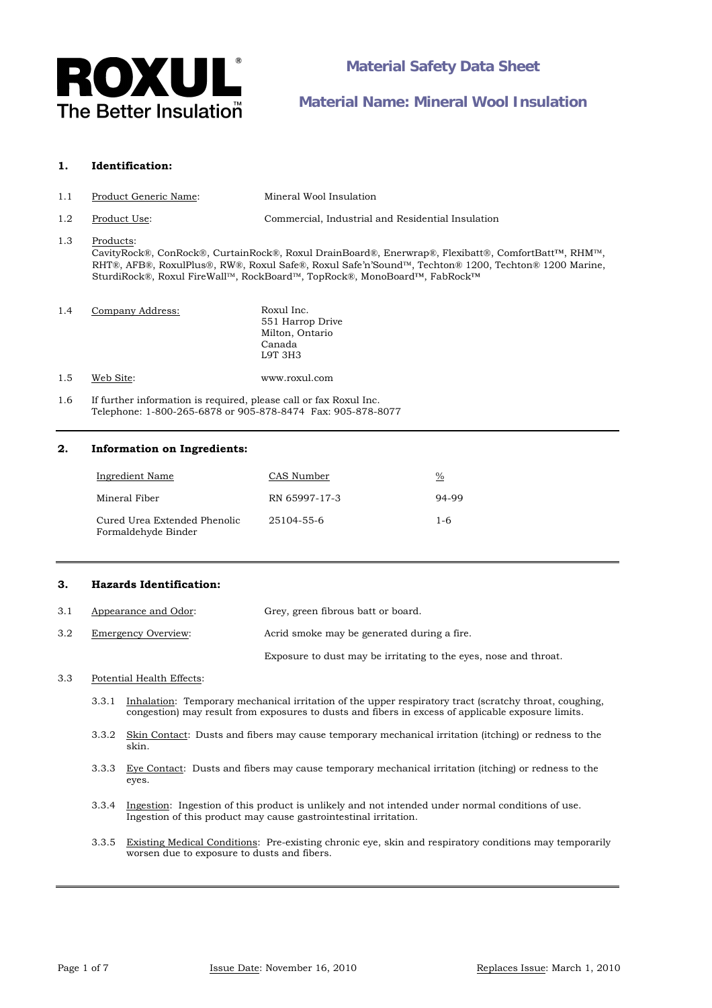

### **1. Identification:**

- 1.1 Product Generic Name: Mineral Wool Insulation
- 1.2 Product Use: Commercial, Industrial and Residential Insulation

## 1.3 Products:

CavityRock®, ConRock®, CurtainRock®, Roxul DrainBoard®, Enerwrap®, Flexibatt®, ComfortBatt™, RHM™, RHT®, AFB®, RoxulPlus®, RW®, Roxul Safe®, Roxul Safe'n'Sound™, Techton® 1200, Techton® 1200 Marine, SturdiRock®, Roxul FireWall™, RockBoard™, TopRock®, MonoBoard™, FabRock™

| 1.4 | Company Address: | Roxul Inc.       |
|-----|------------------|------------------|
|     |                  | 551 Harrop Drive |
|     |                  | Milton, Ontario  |
|     |                  | Canada           |
|     |                  | L9T 3H3          |
|     |                  |                  |

1.5 Web Site: www.roxul.com

1.6 If further information is required, please call or fax Roxul Inc. Telephone: 1-800-265-6878 or 905-878-8474 Fax: 905-878-8077

## **2. Information on Ingredients:**

| Ingredient Name                                     | CAS Number    | $\%$    |
|-----------------------------------------------------|---------------|---------|
| Mineral Fiber                                       | RN 65997-17-3 | 94-99   |
| Cured Urea Extended Phenolic<br>Formaldehyde Binder | 25104-55-6    | $1 - 6$ |

## **3. Hazards Identification:**

| 3.1 | Appearance and Odor: | Grey, green fibrous batt or board.                               |
|-----|----------------------|------------------------------------------------------------------|
| 3.2 | Emergency Overview:  | Acrid smoke may be generated during a fire.                      |
|     |                      | Exposure to dust may be irritating to the eyes, nose and throat. |

#### 3.3 Potential Health Effects:

- 3.3.1 Inhalation: Temporary mechanical irritation of the upper respiratory tract (scratchy throat, coughing, congestion) may result from exposures to dusts and fibers in excess of applicable exposure limits.
- 3.3.2 Skin Contact: Dusts and fibers may cause temporary mechanical irritation (itching) or redness to the skin.
- 3.3.3 Eye Contact: Dusts and fibers may cause temporary mechanical irritation (itching) or redness to the eyes.
- 3.3.4 Ingestion: Ingestion of this product is unlikely and not intended under normal conditions of use. Ingestion of this product may cause gastrointestinal irritation.
- 3.3.5 Existing Medical Conditions: Pre-existing chronic eye, skin and respiratory conditions may temporarily worsen due to exposure to dusts and fibers.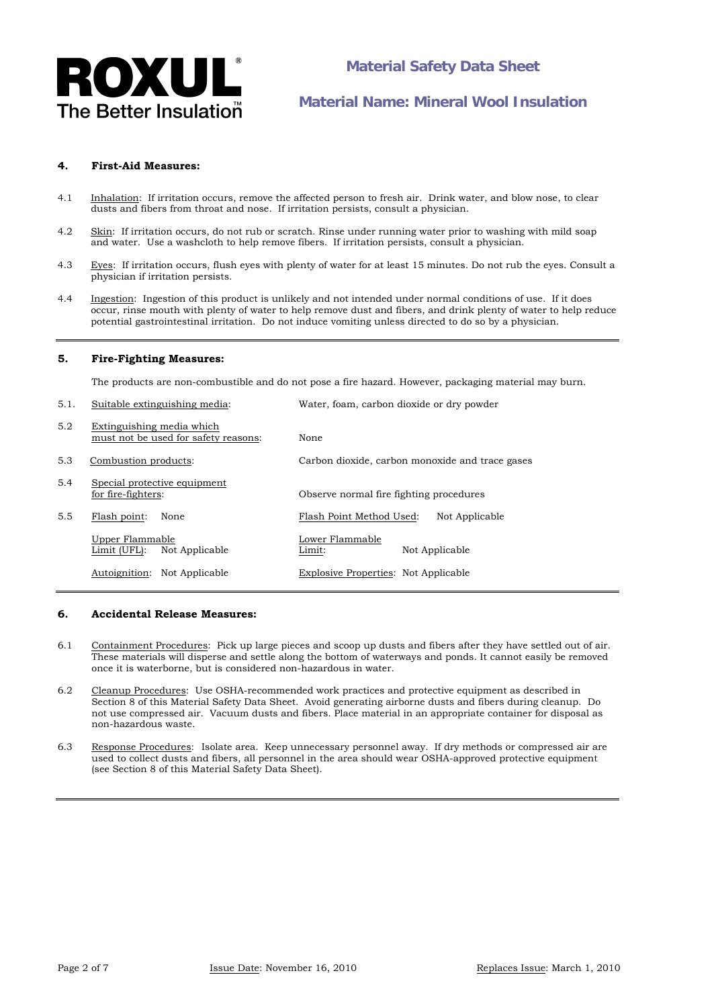

## **4. First-Aid Measures:**

- 4.1 Inhalation: If irritation occurs, remove the affected person to fresh air. Drink water, and blow nose, to clear dusts and fibers from throat and nose. If irritation persists, consult a physician.
- 4.2 Skin: If irritation occurs, do not rub or scratch. Rinse under running water prior to washing with mild soap and water. Use a washcloth to help remove fibers. If irritation persists, consult a physician.
- 4.3 Eyes: If irritation occurs, flush eyes with plenty of water for at least 15 minutes. Do not rub the eyes. Consult a physician if irritation persists.
- 4.4 Ingestion: Ingestion of this product is unlikely and not intended under normal conditions of use. If it does occur, rinse mouth with plenty of water to help remove dust and fibers, and drink plenty of water to help reduce potential gastrointestinal irritation. Do not induce vomiting unless directed to do so by a physician.

#### **5. Fire-Fighting Measures:**

The products are non-combustible and do not pose a fire hazard. However, packaging material may burn.

5.1. Suitable extinguishing media: Water, foam, carbon dioxide or dry powder

| J.I. | Sunable exunguishing incula.                                      | water, ioain, carbon dioxide or dry powder      |
|------|-------------------------------------------------------------------|-------------------------------------------------|
| 5.2  | Extinguishing media which<br>must not be used for safety reasons: | None                                            |
| 5.3  | Combustion products:                                              | Carbon dioxide, carbon monoxide and trace gases |
| 5.4  | Special protective equipment<br>for fire-fighters:                | Observe normal fire fighting procedures         |
| 5.5  | Flash point:<br>None                                              | Flash Point Method Used:<br>Not Applicable      |
|      | Upper Flammable<br>Not Applicable<br>Limit (UFL):                 | Lower Flammable<br>Not Applicable<br>Limit:     |
|      | Autoignition:<br>Not Applicable                                   | Explosive Properties: Not Applicable            |
|      |                                                                   |                                                 |

### **6. Accidental Release Measures:**

- 6.1 Containment Procedures: Pick up large pieces and scoop up dusts and fibers after they have settled out of air. These materials will disperse and settle along the bottom of waterways and ponds. It cannot easily be removed once it is waterborne, but is considered non-hazardous in water.
- 6.2 Cleanup Procedures: Use OSHA-recommended work practices and protective equipment as described in Section 8 of this Material Safety Data Sheet. Avoid generating airborne dusts and fibers during cleanup. Do not use compressed air. Vacuum dusts and fibers. Place material in an appropriate container for disposal as non-hazardous waste.
- 6.3 Response Procedures: Isolate area. Keep unnecessary personnel away. If dry methods or compressed air are used to collect dusts and fibers, all personnel in the area should wear OSHA-approved protective equipment (see Section 8 of this Material Safety Data Sheet).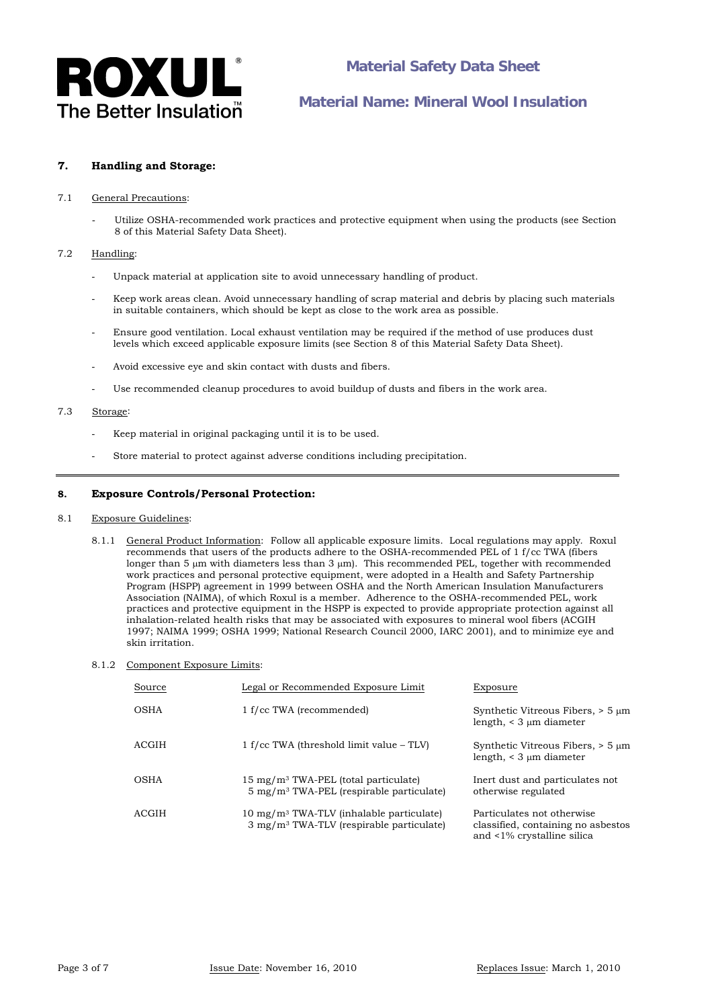

## **7. Handling and Storage:**

#### 7.1 General Precautions:

Utilize OSHA-recommended work practices and protective equipment when using the products (see Section 8 of this Material Safety Data Sheet).

### 7.2 Handling:

- Unpack material at application site to avoid unnecessary handling of product.
- Keep work areas clean. Avoid unnecessary handling of scrap material and debris by placing such materials in suitable containers, which should be kept as close to the work area as possible.
- Ensure good ventilation. Local exhaust ventilation may be required if the method of use produces dust levels which exceed applicable exposure limits (see Section 8 of this Material Safety Data Sheet).
- Avoid excessive eye and skin contact with dusts and fibers.
- Use recommended cleanup procedures to avoid buildup of dusts and fibers in the work area.

### 7.3 Storage:

- Keep material in original packaging until it is to be used.
- Store material to protect against adverse conditions including precipitation.

### **8. Exposure Controls/Personal Protection:**

#### 8.1 Exposure Guidelines:

- 8.1.1 General Product Information: Follow all applicable exposure limits. Local regulations may apply*.* Roxul recommends that users of the products adhere to the OSHA-recommended PEL of 1 f/cc TWA (fibers longer than 5  $\mu$ m with diameters less than 3  $\mu$ m). This recommended PEL, together with recommended work practices and personal protective equipment, were adopted in a Health and Safety Partnership Program (HSPP) agreement in 1999 between OSHA and the North American Insulation Manufacturers Association (NAIMA), of which Roxul is a member. Adherence to the OSHA-recommended PEL, work practices and protective equipment in the HSPP is expected to provide appropriate protection against all inhalation-related health risks that may be associated with exposures to mineral wool fibers (ACGIH 1997; NAIMA 1999; OSHA 1999; National Research Council 2000, IARC 2001), and to minimize eye and skin irritation.
- 8.1.2 Component Exposure Limits:

| Source | Legal or Recommended Exposure Limit                                                                                   | Exposure                                                                                       |
|--------|-----------------------------------------------------------------------------------------------------------------------|------------------------------------------------------------------------------------------------|
| OSHA   | 1 f/cc TWA (recommended)                                                                                              | Synthetic Vitreous Fibers, $> 5 \mu m$<br>length, $\leq 3 \mu m$ diameter                      |
| ACGIH  | $1 f$ /cc TWA (threshold limit value – TLV)                                                                           | Synthetic Vitreous Fibers, $> 5 \mu m$<br>length, $\leq$ 3 $\mu$ m diameter                    |
| OSHA   | $15 \text{ mg/m}^3$ TWA-PEL (total particulate)<br>$5 \text{ mg/m}$ <sup>3</sup> TWA-PEL (respirable particulate)     | Inert dust and particulates not<br>otherwise regulated                                         |
| ACGIH  | $10 \text{ mg/m}$ <sup>3</sup> TWA-TLV (inhalable particulate)<br>$3 \text{ mg/m}^3$ TWA-TLV (respirable particulate) | Particulates not otherwise<br>classified, containing no asbestos<br>and <1% crystalline silica |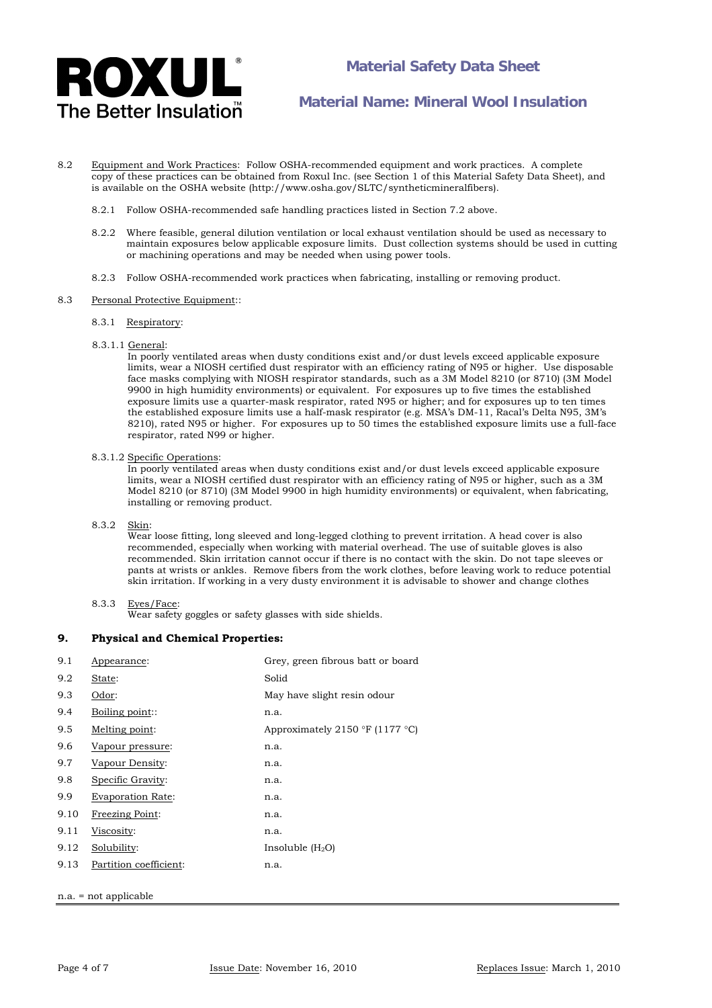

- 8.2 Equipment and Work Practices: Follow OSHA-recommended equipment and work practices. A complete copy of these practices can be obtained from Roxul Inc. (see Section 1 of this Material Safety Data Sheet), and is available on the OSHA website (http://www.osha.gov/SLTC/syntheticmineralfibers).
	- 8.2.1 Follow OSHA-recommended safe handling practices listed in Section 7.2 above.
	- 8.2.2 Where feasible, general dilution ventilation or local exhaust ventilation should be used as necessary to maintain exposures below applicable exposure limits. Dust collection systems should be used in cutting or machining operations and may be needed when using power tools.
	- 8.2.3 Follow OSHA-recommended work practices when fabricating, installing or removing product.

### 8.3 Personal Protective Equipment:

- 8.3.1 Respiratory:
- 8.3.1.1 General:

 In poorly ventilated areas when dusty conditions exist and/or dust levels exceed applicable exposure limits, wear a NIOSH certified dust respirator with an efficiency rating of N95 or higher. Use disposable face masks complying with NIOSH respirator standards, such as a 3M Model 8210 (or 8710) (3M Model 9900 in high humidity environments) or equivalent. For exposures up to five times the established exposure limits use a quarter-mask respirator, rated N95 or higher; and for exposures up to ten times the established exposure limits use a half-mask respirator (e.g. MSA's DM-11, Racal's Delta N95, 3M's 8210), rated N95 or higher. For exposures up to 50 times the established exposure limits use a full-face respirator, rated N99 or higher.

#### 8.3.1.2 Specific Operations:

 In poorly ventilated areas when dusty conditions exist and/or dust levels exceed applicable exposure limits, wear a NIOSH certified dust respirator with an efficiency rating of N95 or higher, such as a 3M Model 8210 (or 8710) (3M Model 9900 in high humidity environments) or equivalent, when fabricating, installing or removing product.

### 8.3.2 Skin:

Wear loose fitting, long sleeved and long-legged clothing to prevent irritation. A head cover is also recommended, especially when working with material overhead. The use of suitable gloves is also recommended. Skin irritation cannot occur if there is no contact with the skin. Do not tape sleeves or pants at wrists or ankles. Remove fibers from the work clothes, before leaving work to reduce potential skin irritation. If working in a very dusty environment it is advisable to shower and change clothes

#### 8.3.3 Eyes/Face:

Wear safety goggles or safety glasses with side shields.

#### **9. Physical and Chemical Properties:**

| 9.1                     | Appearance:              | Grey, green fibrous batt or board |
|-------------------------|--------------------------|-----------------------------------|
| 9.2                     | State:                   | Solid                             |
| 9.3                     | Odor:                    | May have slight resin odour       |
| 9.4                     | Boiling point::          | n.a.                              |
| 9.5                     | Melting point:           | Approximately 2150 °F (1177 °C)   |
| 9.6                     | Vapour pressure:         | n.a.                              |
| 9.7                     | Vapour Density:          | n.a.                              |
| 9.8                     | Specific Gravity:        | n.a.                              |
| 9.9                     | <b>Evaporation Rate:</b> | n.a.                              |
| 9.10                    | Freezing Point:          | n.a.                              |
| 9.11                    | Viscosity:               | n.a.                              |
| 9.12                    | Solubility:              | Insoluble $(H_2O)$                |
| 9.13                    | Partition coefficient:   | n.a.                              |
|                         |                          |                                   |
| $n.a. = not applicable$ |                          |                                   |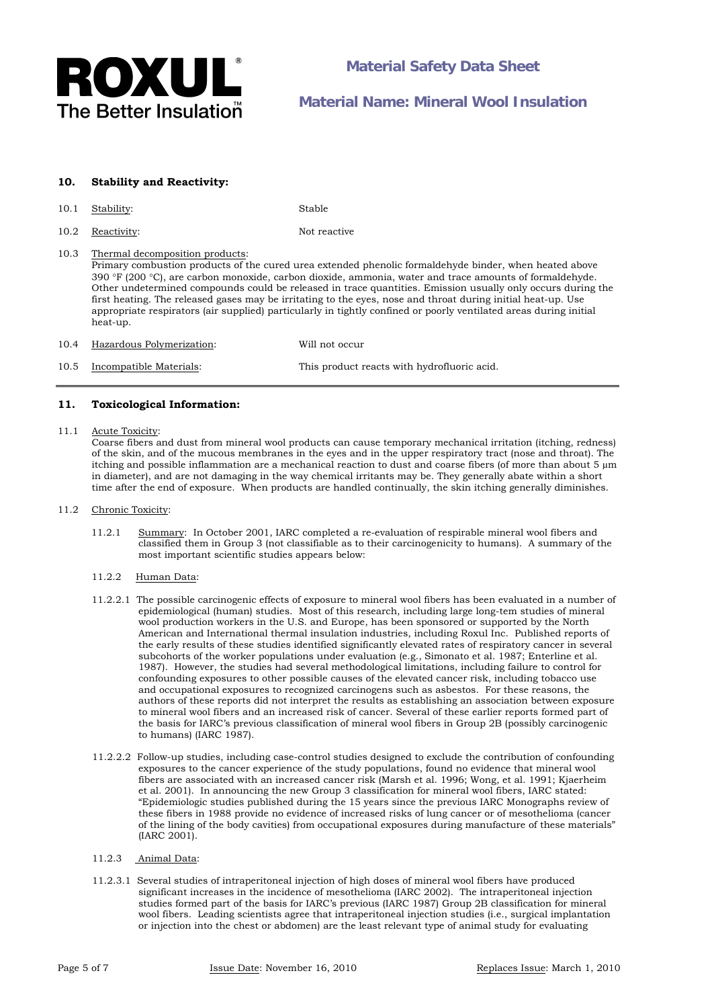

## **10. Stability and Reactivity:**

- 10.1 Stability: Stable
- 10.2 Reactivity: Not reactive

10.3 Thermal decomposition products:

 Primary combustion products of the cured urea extended phenolic formaldehyde binder, when heated above 390 F (200 C), are carbon monoxide, carbon dioxide, ammonia, water and trace amounts of formaldehyde. Other undetermined compounds could be released in trace quantities. Emission usually only occurs during the first heating. The released gases may be irritating to the eyes, nose and throat during initial heat-up. Use appropriate respirators (air supplied) particularly in tightly confined or poorly ventilated areas during initial heat-up.

10.4 Hazardous Polymerization: Will not occur

## 10.5 Incompatible Materials: This product reacts with hydrofluoric acid.

### **11. Toxicological Information:**

11.1 Acute Toxicity:

Coarse fibers and dust from mineral wool products can cause temporary mechanical irritation (itching, redness) of the skin, and of the mucous membranes in the eyes and in the upper respiratory tract (nose and throat). The itching and possible inflammation are a mechanical reaction to dust and coarse fibers (of more than about 5 µm in diameter), and are not damaging in the way chemical irritants may be. They generally abate within a short time after the end of exposure. When products are handled continually, the skin itching generally diminishes.

- 11.2 Chronic Toxicity:
	- 11.2.1 Summary: In October 2001, IARC completed a re-evaluation of respirable mineral wool fibers and classified them in Group 3 (not classifiable as to their carcinogenicity to humans). A summary of the most important scientific studies appears below:
	- 11.2.2 Human Data:
	- 11.2.2.1 The possible carcinogenic effects of exposure to mineral wool fibers has been evaluated in a number of epidemiological (human) studies. Most of this research, including large long-tem studies of mineral wool production workers in the U.S. and Europe, has been sponsored or supported by the North American and International thermal insulation industries, including Roxul Inc. Published reports of the early results of these studies identified significantly elevated rates of respiratory cancer in several subcohorts of the worker populations under evaluation (e.g., Simonato et al. 1987; Enterline et al. 1987). However, the studies had several methodological limitations, including failure to control for confounding exposures to other possible causes of the elevated cancer risk, including tobacco use and occupational exposures to recognized carcinogens such as asbestos. For these reasons, the authors of these reports did not interpret the results as establishing an association between exposure to mineral wool fibers and an increased risk of cancer. Several of these earlier reports formed part of the basis for IARC's previous classification of mineral wool fibers in Group 2B (possibly carcinogenic to humans) (IARC 1987).
	- 11.2.2.2 Follow-up studies, including case-control studies designed to exclude the contribution of confounding exposures to the cancer experience of the study populations, found no evidence that mineral wool fibers are associated with an increased cancer risk (Marsh et al. 1996; Wong, et al. 1991; Kjaerheim et al. 2001). In announcing the new Group 3 classification for mineral wool fibers, IARC stated: "Epidemiologic studies published during the 15 years since the previous IARC Monographs review of these fibers in 1988 provide no evidence of increased risks of lung cancer or of mesothelioma (cancer of the lining of the body cavities) from occupational exposures during manufacture of these materials" (IARC 2001).
	- 11.2.3 Animal Data:
	- 11.2.3.1 Several studies of intraperitoneal injection of high doses of mineral wool fibers have produced significant increases in the incidence of mesothelioma (IARC 2002). The intraperitoneal injection studies formed part of the basis for IARC's previous (IARC 1987) Group 2B classification for mineral wool fibers. Leading scientists agree that intraperitoneal injection studies (i.e., surgical implantation or injection into the chest or abdomen) are the least relevant type of animal study for evaluating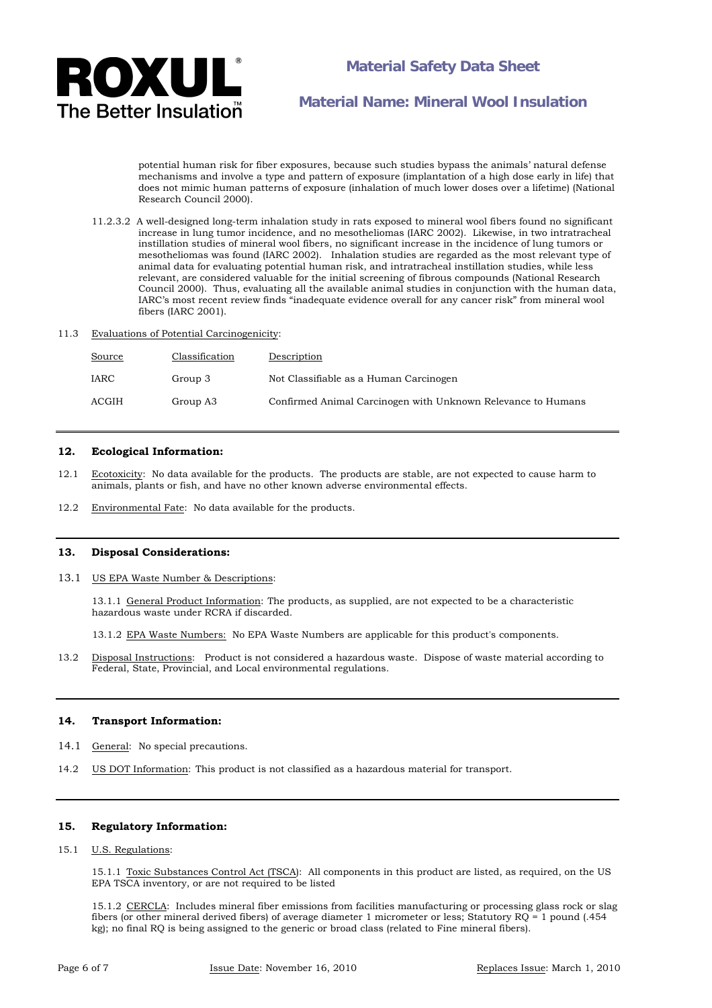

**Material Safety Data Sheet** 

**Material Name: Mineral Wool Insulation**

potential human risk for fiber exposures, because such studies bypass the animals' natural defense mechanisms and involve a type and pattern of exposure (implantation of a high dose early in life) that does not mimic human patterns of exposure (inhalation of much lower doses over a lifetime) (National Research Council 2000).

- 11.2.3.2 A well-designed long-term inhalation study in rats exposed to mineral wool fibers found no significant increase in lung tumor incidence, and no mesotheliomas (IARC 2002). Likewise, in two intratracheal instillation studies of mineral wool fibers, no significant increase in the incidence of lung tumors or mesotheliomas was found (IARC 2002). Inhalation studies are regarded as the most relevant type of animal data for evaluating potential human risk, and intratracheal instillation studies, while less relevant, are considered valuable for the initial screening of fibrous compounds (National Research Council 2000). Thus, evaluating all the available animal studies in conjunction with the human data, IARC's most recent review finds "inadequate evidence overall for any cancer risk" from mineral wool fibers (IARC 2001).
- 11.3 Evaluations of Potential Carcinogenicity:

| <b>Source</b> | Classification | Description                                                  |
|---------------|----------------|--------------------------------------------------------------|
| IARC          | Group 3        | Not Classifiable as a Human Carcinogen                       |
| ACGIH         | Group A3       | Confirmed Animal Carcinogen with Unknown Relevance to Humans |

#### **12. Ecological Information:**

- 12.1 Ecotoxicity: No data available for the products. The products are stable, are not expected to cause harm to animals, plants or fish, and have no other known adverse environmental effects.
- 12.2 Environmental Fate: No data available for the products.

#### **13. Disposal Considerations:**

13.1 US EPA Waste Number & Descriptions:

13.1.1 General Product Information: The products, as supplied, are not expected to be a characteristic hazardous waste under RCRA if discarded.

13.1.2 EPA Waste Numbers: No EPA Waste Numbers are applicable for this product's components.

13.2 Disposal Instructions: Product is not considered a hazardous waste. Dispose of waste material according to Federal, State, Provincial, and Local environmental regulations.

#### **14. Transport Information:**

- 14.1 General: No special precautions.
- 14.2 US DOT Information: This product is not classified as a hazardous material for transport.

## **15. Regulatory Information:**

#### 15.1 U.S. Regulations:

 15.1.1 Toxic Substances Control Act (TSCA): All components in this product are listed, as required, on the US EPA TSCA inventory, or are not required to be listed

15.1.2 CERCLA: Includes mineral fiber emissions from facilities manufacturing or processing glass rock or slag fibers (or other mineral derived fibers) of average diameter 1 micrometer or less; Statutory RQ = 1 pound (.454 kg); no final RQ is being assigned to the generic or broad class (related to Fine mineral fibers).